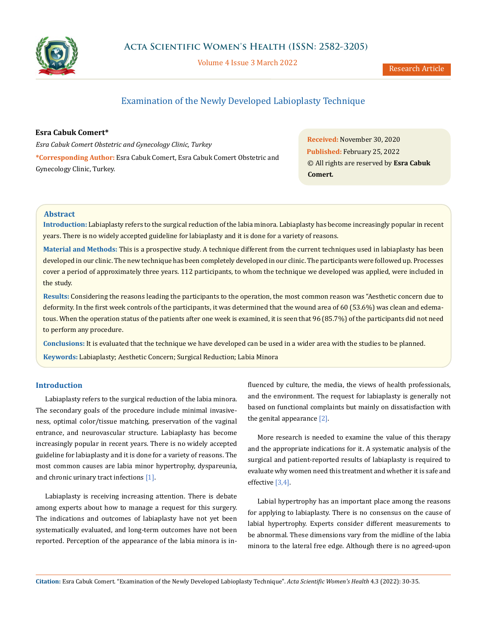

Volume 4 Issue 3 March 2022

Research Article

# Examination of the Newly Developed Labioplasty Technique

### **Esra Cabuk Comert\***

*Esra Cabuk Comert Obstetric and Gynecology Clinic, Turkey* **\*Corresponding Author:** Esra Cabuk Comert, Esra Cabuk Comert Obstetric and Gynecology Clinic, Turkey.

**Received:** November 30, 2020 **Published:** February 25, 2022 © All rights are reserved by **Esra Cabuk Comert***.*

# **Abstract**

**Introduction:** Labiaplasty refers to the surgical reduction of the labia minora. Labiaplasty has become increasingly popular in recent years. There is no widely accepted guideline for labiaplasty and it is done for a variety of reasons.

**Material and Methods:** This is a prospective study. A technique different from the current techniques used in labiaplasty has been developed in our clinic. The new technique has been completely developed in our clinic. The participants were followed up. Processes cover a period of approximately three years. 112 participants, to whom the technique we developed was applied, were included in the study.

**Results:** Considering the reasons leading the participants to the operation, the most common reason was "Aesthetic concern due to deformity. In the first week controls of the participants, it was determined that the wound area of 60 (53.6%) was clean and edematous. When the operation status of the patients after one week is examined, it is seen that 96 (85.7%) of the participants did not need to perform any procedure.

**Conclusions:** It is evaluated that the technique we have developed can be used in a wider area with the studies to be planned. **Keywords:** Labiaplasty; Aesthetic Concern; Surgical Reduction; Labia Minora

# **Introduction**

Labiaplasty refers to the surgical reduction of the labia minora. The secondary goals of the procedure include minimal invasiveness, optimal color/tissue matching, preservation of the vaginal entrance, and neurovascular structure. Labiaplasty has become increasingly popular in recent years. There is no widely accepted guideline for labiaplasty and it is done for a variety of reasons. The most common causes are labia minor hypertrophy, dyspareunia, and chronic urinary tract infections [1].

Labiaplasty is receiving increasing attention. There is debate among experts about how to manage a request for this surgery. The indications and outcomes of labiaplasty have not yet been systematically evaluated, and long-term outcomes have not been reported. Perception of the appearance of the labia minora is influenced by culture, the media, the views of health professionals, and the environment. The request for labiaplasty is generally not based on functional complaints but mainly on dissatisfaction with the genital appearance  $[2]$ .

More research is needed to examine the value of this therapy and the appropriate indications for it. A systematic analysis of the surgical and patient-reported results of labiaplasty is required to evaluate why women need this treatment and whether it is safe and effective [3,4].

Labial hypertrophy has an important place among the reasons for applying to labiaplasty. There is no consensus on the cause of labial hypertrophy. Experts consider different measurements to be abnormal. These dimensions vary from the midline of the labia minora to the lateral free edge. Although there is no agreed-upon

**Citation:** Esra Cabuk Comert*.* "Examination of the Newly Developed Labioplasty Technique". *Acta Scientific Women's Health* 4.3 (2022): 30-35.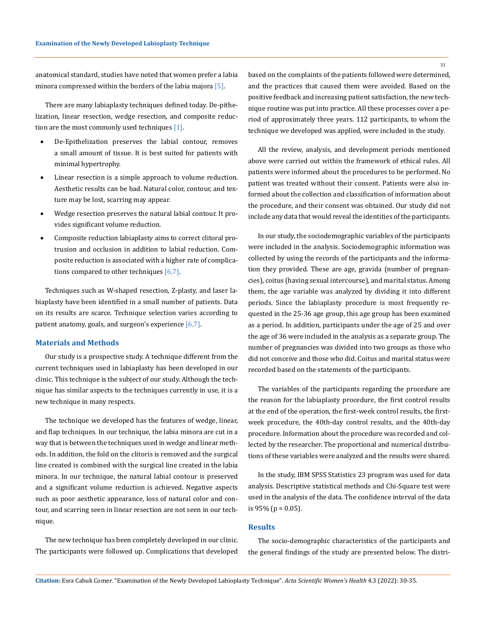anatomical standard, studies have noted that women prefer a labia minora compressed within the borders of the labia majora [5].

There are many labiaplasty techniques defined today. De-pithelization, linear resection, wedge resection, and composite reduction are the most commonly used techniques [1].

- De-Epithelization preserves the labial contour, removes a small amount of tissue. It is best suited for patients with minimal hypertrophy.
- Linear resection is a simple approach to volume reduction. Aesthetic results can be bad. Natural color, contour, and texture may be lost, scarring may appear.
- Wedge resection preserves the natural labial contour. It provides significant volume reduction.
- Composite reduction labiaplasty aims to correct clitoral protrusion and occlusion in addition to labial reduction. Composite reduction is associated with a higher rate of complications compared to other techniques [6,7].

Techniques such as W-shaped resection, Z-plasty, and laser labiaplasty have been identified in a small number of patients. Data on its results are scarce. Technique selection varies according to patient anatomy, goals, and surgeon's experience [6,7].

#### **Materials and Methods**

Our study is a prospective study. A technique different from the current techniques used in labiaplasty has been developed in our clinic. This technique is the subject of our study. Although the technique has similar aspects to the techniques currently in use, it is a new technique in many respects.

The technique we developed has the features of wedge, linear, and flap techniques. In our technique, the labia minora are cut in a way that is between the techniques used in wedge and linear methods. In addition, the fold on the clitoris is removed and the surgical line created is combined with the surgical line created in the labia minora. In our technique, the natural labial contour is preserved and a significant volume reduction is achieved. Negative aspects such as poor aesthetic appearance, loss of natural color and contour, and scarring seen in linear resection are not seen in our technique.

The new technique has been completely developed in our clinic. The participants were followed up. Complications that developed based on the complaints of the patients followed were determined, and the practices that caused them were avoided. Based on the positive feedback and increasing patient satisfaction, the new technique routine was put into practice. All these processes cover a period of approximately three years. 112 participants, to whom the technique we developed was applied, were included in the study.

All the review, analysis, and development periods mentioned above were carried out within the framework of ethical rules. All patients were informed about the procedures to be performed. No patient was treated without their consent. Patients were also informed about the collection and classification of information about the procedure, and their consent was obtained. Our study did not include any data that would reveal the identities of the participants.

In our study, the sociodemographic variables of the participants were included in the analysis. Sociodemographic information was collected by using the records of the participants and the information they provided. These are age, gravida (number of pregnancies), coitus (having sexual intercourse), and marital status. Among them, the age variable was analyzed by dividing it into different periods. Since the labiaplasty procedure is most frequently requested in the 25-36 age group, this age group has been examined as a period. In addition, participants under the age of 25 and over the age of 36 were included in the analysis as a separate group. The number of pregnancies was divided into two groups as those who did not conceive and those who did. Coitus and marital status were recorded based on the statements of the participants.

The variables of the participants regarding the procedure are the reason for the labiaplasty procedure, the first control results at the end of the operation, the first-week control results, the firstweek procedure, the 40th-day control results, and the 40th-day procedure. Information about the procedure was recorded and collected by the researcher. The proportional and numerical distributions of these variables were analyzed and the results were shared.

In the study, IBM SPSS Statistics 23 program was used for data analysis. Descriptive statistical methods and Chi-Square test were used in the analysis of the data. The confidence interval of the data is  $95\%$  (p = 0.05).

### **Results**

The socio-demographic characteristics of the participants and the general findings of the study are presented below. The distri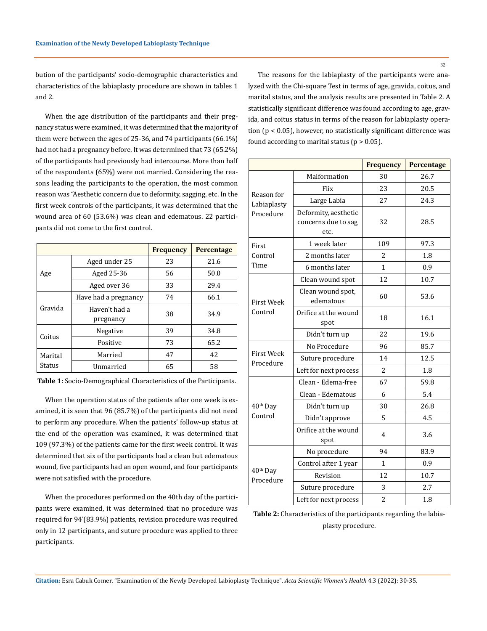bution of the participants' socio-demographic characteristics and characteristics of the labiaplasty procedure are shown in tables 1 and 2.

When the age distribution of the participants and their pregnancy status were examined, it was determined that the majority of them were between the ages of 25-36, and 74 participants (66.1%) had not had a pregnancy before. It was determined that 73 (65.2%) of the participants had previously had intercourse. More than half of the respondents (65%) were not married. Considering the reasons leading the participants to the operation, the most common reason was "Aesthetic concern due to deformity, sagging, etc. In the first week controls of the participants, it was determined that the wound area of 60 (53.6%) was clean and edematous. 22 participants did not come to the first control.

|                   |                            | <b>Frequency</b> | Percentage |  |
|-------------------|----------------------------|------------------|------------|--|
| Age               | Aged under 25              | 23               | 21.6       |  |
|                   | Aged 25-36                 | 56               | 50.0       |  |
|                   | Aged over 36               | 33               | 29.4       |  |
| Gravida           | Have had a pregnancy       | 74               | 66.1       |  |
|                   | Haven't had a<br>pregnancy | 38               | 34.9       |  |
| Coitus            | Negative                   | 39               | 34.8       |  |
|                   | Positive                   | 73               | 65.2       |  |
| Marital<br>Status | Married                    | 47               | 42         |  |
|                   | Unmarried                  | 65               | 58         |  |

**Table 1:** Socio-Demographical Characteristics of the Participants.

When the operation status of the patients after one week is examined, it is seen that 96 (85.7%) of the participants did not need to perform any procedure. When the patients' follow-up status at the end of the operation was examined, it was determined that 109 (97.3%) of the patients came for the first week control. It was determined that six of the participants had a clean but edematous wound, five participants had an open wound, and four participants were not satisfied with the procedure.

When the procedures performed on the 40th day of the participants were examined, it was determined that no procedure was required for 94'(83.9%) patients, revision procedure was required only in 12 participants, and suture procedure was applied to three participants.

The reasons for the labiaplasty of the participants were analyzed with the Chi-square Test in terms of age, gravida, coitus, and marital status, and the analysis results are presented in Table 2. A statistically significant difference was found according to age, gravida, and coitus status in terms of the reason for labiaplasty operation (p < 0.05), however, no statistically significant difference was found according to marital status ( $p > 0.05$ ).

|                                   |                                                     | <b>Frequency</b> | Percentage |  |
|-----------------------------------|-----------------------------------------------------|------------------|------------|--|
| Reason for<br>Labiaplasty         | Malformation                                        | 30               | 26.7       |  |
|                                   | Flix                                                | 23               | 20.5       |  |
|                                   | 27<br>Large Labia                                   |                  | 24.3       |  |
| Procedure                         | Deformity, aesthetic<br>concerns due to sag<br>etc. | 32               | 28.5       |  |
| First                             | 1 week later                                        | 109              | 97.3       |  |
| Control                           | 2 months later                                      | 2                | 1.8        |  |
| Time                              | 6 months later                                      | 1                | 0.9        |  |
|                                   | Clean wound spot                                    | 12               | 10.7       |  |
| <b>First Week</b>                 | Clean wound spot,<br>edematous                      | 60               | 53.6       |  |
| Control                           | Orifice at the wound<br>spot                        | 18               | 16.1       |  |
|                                   | Didn't turn up                                      | 22               | 19.6       |  |
| <b>First Week</b><br>Procedure    | No Procedure                                        | 96               | 85.7       |  |
|                                   | Suture procedure                                    | 14               | 12.5       |  |
|                                   | Left for next process                               | 2                | 1.8        |  |
|                                   | Clean - Edema-free                                  | 67               | 59.8       |  |
|                                   | Clean - Edematous                                   | 6                | 5.4        |  |
| 40 <sup>th</sup> Day              | Didn't turn up                                      | 30               | 26.8       |  |
| Control                           | Didn't approve                                      | 5                | 4.5        |  |
|                                   | Orifice at the wound<br>spot                        | 4                | 3.6        |  |
|                                   | No procedure                                        | 94               | 83.9       |  |
|                                   | Control after 1 year                                | 1                | 0.9        |  |
| 40 <sup>th</sup> Day<br>Procedure | Revision                                            | 12               | 10.7       |  |
|                                   | Suture procedure                                    | 3                | 2.7        |  |
|                                   | Left for next process                               | $\overline{2}$   | 1.8        |  |

**Table 2:** Characteristics of the participants regarding the labiaplasty procedure.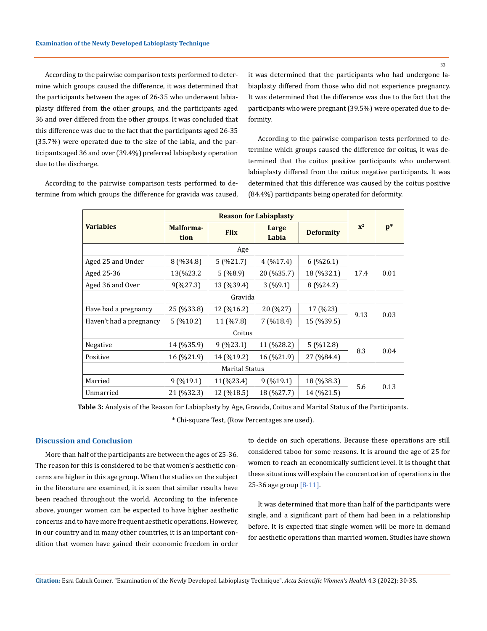According to the pairwise comparison tests performed to determine which groups caused the difference, it was determined that the participants between the ages of 26-35 who underwent labiaplasty differed from the other groups, and the participants aged 36 and over differed from the other groups. It was concluded that this difference was due to the fact that the participants aged 26-35 (35.7%) were operated due to the size of the labia, and the participants aged 36 and over (39.4%) preferred labiaplasty operation due to the discharge.

According to the pairwise comparison tests performed to determine from which groups the difference for gravida was caused, it was determined that the participants who had undergone labiaplasty differed from those who did not experience pregnancy. It was determined that the difference was due to the fact that the participants who were pregnant (39.5%) were operated due to deformity.

According to the pairwise comparison tests performed to determine which groups caused the difference for coitus, it was determined that the coitus positive participants who underwent labiaplasty differed from the coitus negative participants. It was determined that this difference was caused by the coitus positive (84.4%) participants being operated for deformity.

|                         | <b>Reason for Labiaplasty</b> |             |                |                  |                |                |  |  |  |
|-------------------------|-------------------------------|-------------|----------------|------------------|----------------|----------------|--|--|--|
| <b>Variables</b>        | Malforma-<br>tion             | <b>Flix</b> | Large<br>Labia | <b>Deformity</b> | $\mathbf{x}^2$ | $\mathbf{p}^*$ |  |  |  |
| Age                     |                               |             |                |                  |                |                |  |  |  |
| Aged 25 and Under       | 8(%34.8)                      | 5(%21.7)    | 4(%17.4)       | $6($ %26.1)      |                | 0.01           |  |  |  |
| Aged 25-36              | 13(%23.2                      | 5(%8.9)     | 20 (%35.7)     | 18 (%32.1)       | 17.4           |                |  |  |  |
| Aged 36 and Over        | 9(%27.3)                      | 13 (%39.4)  | 3(%9.1)        | 8(%24.2)         |                |                |  |  |  |
| Gravida                 |                               |             |                |                  |                |                |  |  |  |
| Have had a pregnancy    | 25 (%33.8)                    | 12 (%16.2)  | 20 (%27)       | 17 (%23)         | 9.13           | 0.03           |  |  |  |
| Haven't had a pregnancy | $5($ %10.2)                   | 11 (%7.8)   | 7 (%18.4)      | 15 (%39.5)       |                |                |  |  |  |
| Coitus                  |                               |             |                |                  |                |                |  |  |  |
| Negative                | 14 (%35.9)                    | 9(%23.1)    | 11 (%28.2)     | $5($ %12.8)      | 8.3            | 0.04           |  |  |  |
| Positive                | 16 (%21.9)                    | 14 (%19.2)  | 16 (%21.9)     | 27 (%84.4)       |                |                |  |  |  |
| <b>Marital Status</b>   |                               |             |                |                  |                |                |  |  |  |
| Married                 | $9($ %19.1)                   | 11(%23.4)   | $9($ %19.1)    | 18 (%38.3)       | 5.6            | 0.13           |  |  |  |
| Unmarried               | 21 (%32.3)                    | 12 (%18.5)  | 18 (%27.7)     | 14 (%21.5)       |                |                |  |  |  |

**Table 3:** Analysis of the Reason for Labiaplasty by Age, Gravida, Coitus and Marital Status of the Participants. \* Chi-square Test, (Row Percentages are used).

## **Discussion and Conclusion**

More than half of the participants are between the ages of 25-36. The reason for this is considered to be that women's aesthetic concerns are higher in this age group. When the studies on the subject in the literature are examined, it is seen that similar results have been reached throughout the world. According to the inference above, younger women can be expected to have higher aesthetic concerns and to have more frequent aesthetic operations. However, in our country and in many other countries, it is an important condition that women have gained their economic freedom in order

to decide on such operations. Because these operations are still considered taboo for some reasons. It is around the age of 25 for women to reach an economically sufficient level. It is thought that these situations will explain the concentration of operations in the 25-36 age group [8-11].

It was determined that more than half of the participants were single, and a significant part of them had been in a relationship before. It is expected that single women will be more in demand for aesthetic operations than married women. Studies have shown

33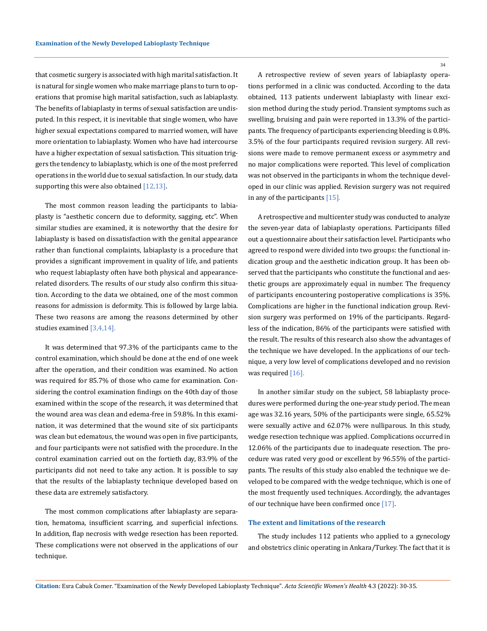that cosmetic surgery is associated with high marital satisfaction. It is natural for single women who make marriage plans to turn to operations that promise high marital satisfaction, such as labiaplasty. The benefits of labiaplasty in terms of sexual satisfaction are undisputed. In this respect, it is inevitable that single women, who have higher sexual expectations compared to married women, will have more orientation to labiaplasty. Women who have had intercourse have a higher expectation of sexual satisfaction. This situation triggers the tendency to labiaplasty, which is one of the most preferred operations in the world due to sexual satisfaction. In our study, data supporting this were also obtained  $[12,13]$ .

The most common reason leading the participants to labiaplasty is "aesthetic concern due to deformity, sagging, etc". When similar studies are examined, it is noteworthy that the desire for labiaplasty is based on dissatisfaction with the genital appearance rather than functional complaints, labiaplasty is a procedure that provides a significant improvement in quality of life, and patients who request labiaplasty often have both physical and appearancerelated disorders. The results of our study also confirm this situation. According to the data we obtained, one of the most common reasons for admission is deformity. This is followed by large labia. These two reasons are among the reasons determined by other studies examined [3,4,14].

It was determined that 97.3% of the participants came to the control examination, which should be done at the end of one week after the operation, and their condition was examined. No action was required for 85.7% of those who came for examination. Considering the control examination findings on the 40th day of those examined within the scope of the research, it was determined that the wound area was clean and edema-free in 59.8%. In this examination, it was determined that the wound site of six participants was clean but edematous, the wound was open in five participants, and four participants were not satisfied with the procedure. In the control examination carried out on the fortieth day, 83.9% of the participants did not need to take any action. It is possible to say that the results of the labiaplasty technique developed based on these data are extremely satisfactory.

The most common complications after labiaplasty are separation, hematoma, insufficient scarring, and superficial infections. In addition, flap necrosis with wedge resection has been reported. These complications were not observed in the applications of our technique.

A retrospective review of seven years of labiaplasty operations performed in a clinic was conducted. According to the data obtained, 113 patients underwent labiaplasty with linear excision method during the study period. Transient symptoms such as swelling, bruising and pain were reported in 13.3% of the participants. The frequency of participants experiencing bleeding is 0.8%. 3.5% of the four participants required revision surgery. All revisions were made to remove permanent excess or asymmetry and no major complications were reported. This level of complication was not observed in the participants in whom the technique developed in our clinic was applied. Revision surgery was not required in any of the participants [15].

A retrospective and multicenter study was conducted to analyze the seven-year data of labiaplasty operations. Participants filled out a questionnaire about their satisfaction level. Participants who agreed to respond were divided into two groups: the functional indication group and the aesthetic indication group. It has been observed that the participants who constitute the functional and aesthetic groups are approximately equal in number. The frequency of participants encountering postoperative complications is 35%. Complications are higher in the functional indication group. Revision surgery was performed on 19% of the participants. Regardless of the indication, 86% of the participants were satisfied with the result. The results of this research also show the advantages of the technique we have developed. In the applications of our technique, a very low level of complications developed and no revision was required [16].

In another similar study on the subject, 58 labiaplasty procedures were performed during the one-year study period. The mean age was 32.16 years, 50% of the participants were single, 65.52% were sexually active and 62.07% were nulliparous. In this study, wedge resection technique was applied. Complications occurred in 12.06% of the participants due to inadequate resection. The procedure was rated very good or excellent by 96.55% of the participants. The results of this study also enabled the technique we developed to be compared with the wedge technique, which is one of the most frequently used techniques. Accordingly, the advantages of our technique have been confirmed once [17].

#### **The extent and limitations of the research**

The study includes 112 patients who applied to a gynecology and obstetrics clinic operating in Ankara/Turkey. The fact that it is

**Citation:** Esra Cabuk Comer*.* "Examination of the Newly Developed Labioplasty Technique". *Acta Scientific Women's Health* 4.3 (2022): 30-35.